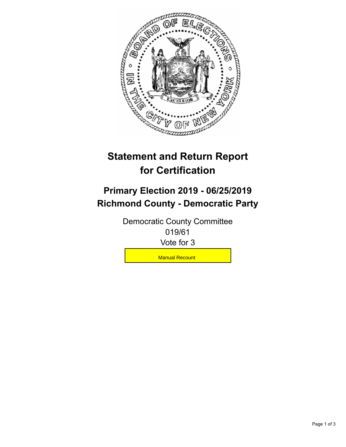

## **Statement and Return Report for Certification**

## **Primary Election 2019 - 06/25/2019 Richmond County - Democratic Party**

Democratic County Committee 019/61 Vote for 3

**Manual Recount**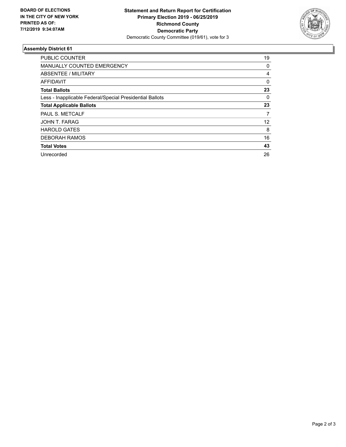

## **Assembly District 61**

| <b>PUBLIC COUNTER</b>                                    | 19       |
|----------------------------------------------------------|----------|
| <b>MANUALLY COUNTED EMERGENCY</b>                        | 0        |
| ABSENTEE / MILITARY                                      | 4        |
| AFFIDAVIT                                                | $\Omega$ |
| <b>Total Ballots</b>                                     | 23       |
| Less - Inapplicable Federal/Special Presidential Ballots | 0        |
| <b>Total Applicable Ballots</b>                          | 23       |
| PAUL S. METCALF                                          | 7        |
| JOHN T. FARAG                                            | 12       |
| <b>HAROLD GATES</b>                                      | 8        |
| <b>DEBORAH RAMOS</b>                                     | 16       |
| <b>Total Votes</b>                                       | 43       |
| Unrecorded                                               | 26       |